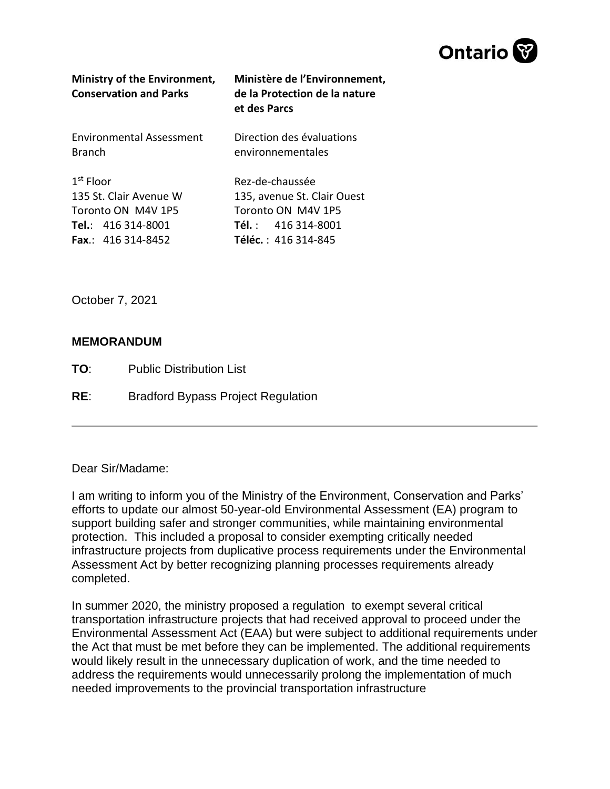

| <b>Ministry of the Environment,</b><br><b>Conservation and Parks</b> | Ministère de l'Environnement,<br>de la Protection de la nature<br>et des Parcs |
|----------------------------------------------------------------------|--------------------------------------------------------------------------------|
| <b>Environmental Assessment</b>                                      | Direction des évaluations                                                      |
| <b>Branch</b>                                                        | environnementales                                                              |
| $1st$ Floor                                                          | Rez-de-chaussée                                                                |
| 135 St. Clair Avenue W                                               | 135, avenue St. Clair Ouest                                                    |
| Toronto ON M4V 1P5                                                   | Toronto ON M4V 1P5                                                             |
| <b>Tel.:</b> $416314-8001$                                           | <b>Tél.</b> : $416314-8001$                                                    |
| <b>Fax</b> : 416 314-8452                                            | <b>Téléc.</b> : 416 314-845                                                    |

October 7, 2021

## **MEMORANDUM**

**TO**: Public Distribution List

**RE**: Bradford Bypass Project Regulation

Dear Sir/Madame:

I am writing to inform you of the Ministry of the Environment, Conservation and Parks' efforts to update our almost 50-year-old Environmental Assessment (EA) program to support building safer and stronger communities, while maintaining environmental protection. This included a proposal to consider exempting critically needed infrastructure projects from duplicative process requirements under the Environmental Assessment Act by better recognizing planning processes requirements already completed.

In summer 2020, the ministry proposed a regulation to exempt several critical transportation infrastructure projects that had received approval to proceed under the Environmental Assessment Act (EAA) but were subject to additional requirements under the Act that must be met before they can be implemented. The additional requirements would likely result in the unnecessary duplication of work, and the time needed to address the requirements would unnecessarily prolong the implementation of much needed improvements to the provincial transportation infrastructure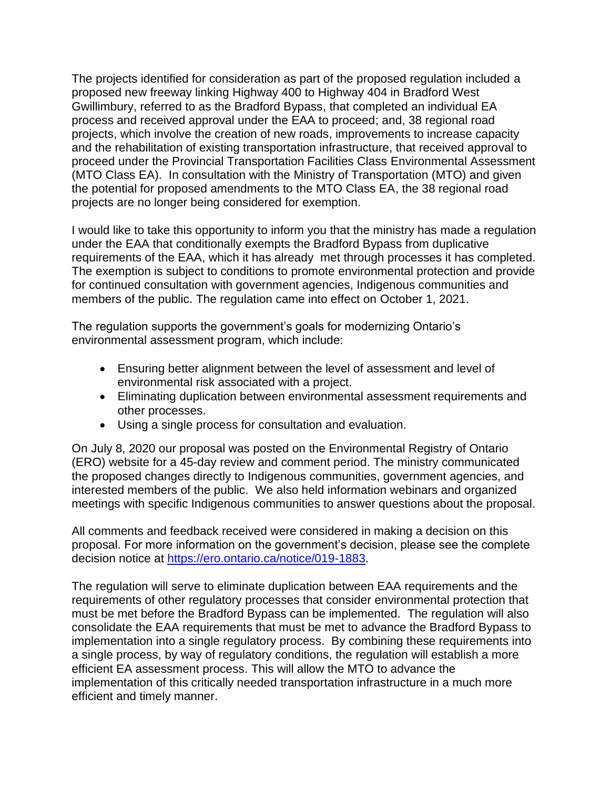The projects identified for consideration as part of the proposed regulation included a proposed new freeway linking Highway 400 to Highway 404 in Bradford West Gwillimbury, referred to as the Bradford Bypass, that completed an individual EA process and received approval under the EAA to proceed; and, 38 regional road projects, which involve the creation of new roads, improvements to increase capacity and the rehabilitation of existing transportation infrastructure, that received approval to proceed under the Provincial Transportation Facilities Class Environmental Assessment (MTO Class EA). In consultation with the Ministry of Transportation (MTO) and given the potential for proposed amendments to the MTO Class EA, the 38 regional road projects are no longer being considered for exemption.

I would like to take this opportunity to inform you that the ministry has made a regulation under the EAA that conditionally exempts the Bradford Bypass from duplicative requirements of the EAA, which it has already met through processes it has completed. The exemption is subject to conditions to promote environmental protection and provide for continued consultation with government agencies, Indigenous communities and members of the public. The regulation came into effect on October 1, 2021.

The regulation supports the government's goals for modernizing Ontario's environmental assessment program, which include:

- Ensuring better alignment between the level of assessment and level of environmental risk associated with a project.
- Eliminating duplication between environmental assessment requirements and other processes.
- Using a single process for consultation and evaluation.

On July 8, 2020 our proposal was posted on the Environmental Registry of Ontario (ERO) website for a 45-day review and comment period. The ministry communicated the proposed changes directly to Indigenous communities, government agencies, and interested members of the public. We also held information webinars and organized meetings with specific Indigenous communities to answer questions about the proposal.

All comments and feedback received were considered in making a decision on this proposal. For more information on the government's decision, please see the complete decision notice at [https://ero.ontario.ca/notice/019-18](https://ero.ontario.ca/notice/019-1)83.

The regulation will serve to eliminate duplication between EAA requirements and the requirements of other regulatory processes that consider environmental protection that must be met before the Bradford Bypass can be implemented. The regulation will also consolidate the EAA requirements that must be met to advance the Bradford Bypass to implementation into a single regulatory process. By combining these requirements into a single process, by way of regulatory conditions, the regulation will establish a more efficient EA assessment process. This will allow the MTO to advance the implementation of this critically needed transportation infrastructure in a much more efficient and timely manner.